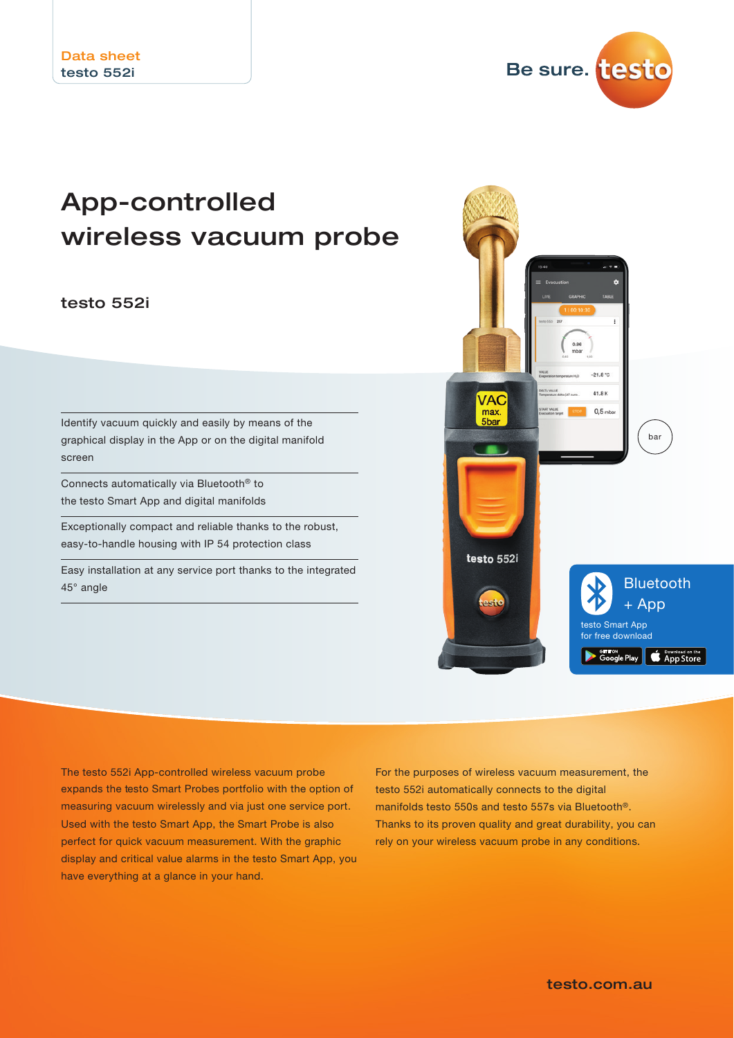Be sure. testo

# App-controlled wireless vacuum probe

### testo 552i

Identify vacuum quickly and easily by means of the graphical display in the App or on the digital manifold screen

Connects automatically via Bluetooth® to the testo Smart App and digital manifolds

Exceptionally compact and reliable thanks to the robust, easy-to-handle housing with IP 54 protection class

Easy installation at any service port thanks to the integrated 45° angle



The testo 552i App-controlled wireless vacuum probe expands the testo Smart Probes portfolio with the option of measuring vacuum wirelessly and via just one service port. Used with the testo Smart App, the Smart Probe is also perfect for quick vacuum measurement. With the graphic display and critical value alarms in the testo Smart App, you have everything at a glance in your hand.

For the purposes of wireless vacuum measurement, the testo 552i automatically connects to the digital manifolds testo 550s and testo 557s via Bluetooth®. Thanks to its proven quality and great durability, you can rely on your wireless vacuum probe in any conditions.